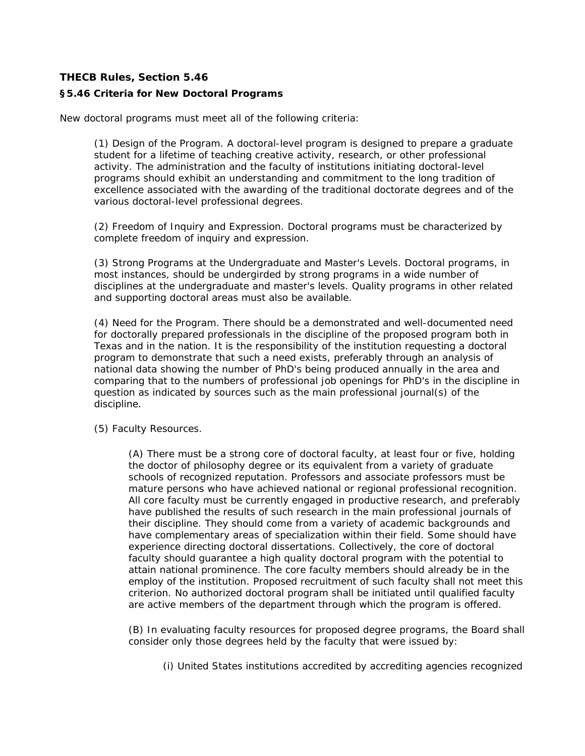## **THECB Rules, Section 5.46 §5.46 Criteria for New Doctoral Programs**

New doctoral programs must meet all of the following criteria:

(1) Design of the Program. A doctoral-level program is designed to prepare a graduate student for a lifetime of teaching creative activity, research, or other professional activity. The administration and the faculty of institutions initiating doctoral-level programs should exhibit an understanding and commitment to the long tradition of excellence associated with the awarding of the traditional doctorate degrees and of the various doctoral-level professional degrees.

(2) Freedom of Inquiry and Expression. Doctoral programs must be characterized by complete freedom of inquiry and expression.

(3) Strong Programs at the Undergraduate and Master's Levels. Doctoral programs, in most instances, should be undergirded by strong programs in a wide number of disciplines at the undergraduate and master's levels. Quality programs in other related and supporting doctoral areas must also be available.

(4) Need for the Program. There should be a demonstrated and well-documented need for doctorally prepared professionals in the discipline of the proposed program both in Texas and in the nation. It is the responsibility of the institution requesting a doctoral program to demonstrate that such a need exists, preferably through an analysis of national data showing the number of PhD's being produced annually in the area and comparing that to the numbers of professional job openings for PhD's in the discipline in question as indicated by sources such as the main professional journal(s) of the discipline.

(5) Faculty Resources.

(A) There must be a strong core of doctoral faculty, at least four or five, holding the doctor of philosophy degree or its equivalent from a variety of graduate schools of recognized reputation. Professors and associate professors must be mature persons who have achieved national or regional professional recognition. All core faculty must be currently engaged in productive research, and preferably have published the results of such research in the main professional journals of their discipline. They should come from a variety of academic backgrounds and have complementary areas of specialization within their field. Some should have experience directing doctoral dissertations. Collectively, the core of doctoral faculty should guarantee a high quality doctoral program with the potential to attain national prominence. The core faculty members should already be in the employ of the institution. Proposed recruitment of such faculty shall not meet this criterion. No authorized doctoral program shall be initiated until qualified faculty are active members of the department through which the program is offered.

(B) In evaluating faculty resources for proposed degree programs, the Board shall consider only those degrees held by the faculty that were issued by:

(i) United States institutions accredited by accrediting agencies recognized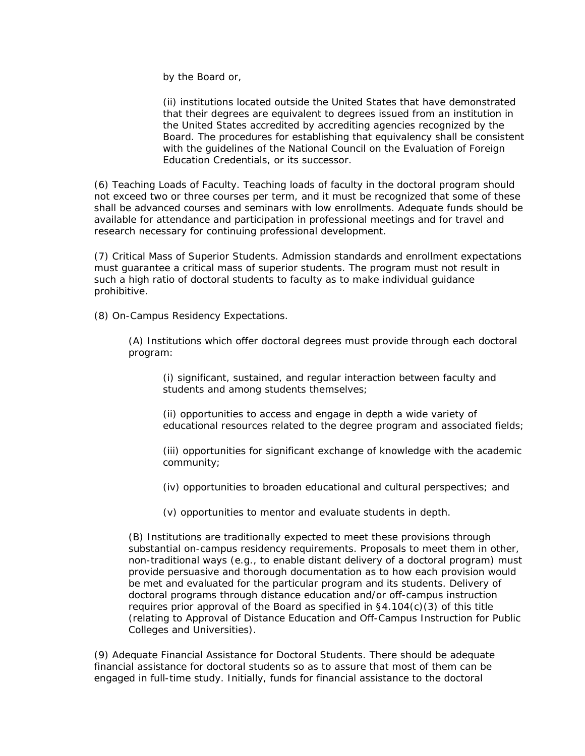by the Board or,

(ii) institutions located outside the United States that have demonstrated that their degrees are equivalent to degrees issued from an institution in the United States accredited by accrediting agencies recognized by the Board. The procedures for establishing that equivalency shall be consistent with the guidelines of the National Council on the Evaluation of Foreign Education Credentials, or its successor.

(6) Teaching Loads of Faculty. Teaching loads of faculty in the doctoral program should not exceed two or three courses per term, and it must be recognized that some of these shall be advanced courses and seminars with low enrollments. Adequate funds should be available for attendance and participation in professional meetings and for travel and research necessary for continuing professional development.

(7) Critical Mass of Superior Students. Admission standards and enrollment expectations must guarantee a critical mass of superior students. The program must not result in such a high ratio of doctoral students to faculty as to make individual guidance prohibitive.

(8) On-Campus Residency Expectations.

(A) Institutions which offer doctoral degrees must provide through each doctoral program:

(i) significant, sustained, and regular interaction between faculty and students and among students themselves;

(ii) opportunities to access and engage in depth a wide variety of educational resources related to the degree program and associated fields;

(iii) opportunities for significant exchange of knowledge with the academic community;

(iv) opportunities to broaden educational and cultural perspectives; and

(v) opportunities to mentor and evaluate students in depth.

(B) Institutions are traditionally expected to meet these provisions through substantial on-campus residency requirements. Proposals to meet them in other, non-traditional ways (e.g., to enable distant delivery of a doctoral program) must provide persuasive and thorough documentation as to how each provision would be met and evaluated for the particular program and its students. Delivery of doctoral programs through distance education and/or off-campus instruction requires prior approval of the Board as specified in  $\S4.104(c)(3)$  of this title (relating to Approval of Distance Education and Off-Campus Instruction for Public Colleges and Universities).

(9) Adequate Financial Assistance for Doctoral Students. There should be adequate financial assistance for doctoral students so as to assure that most of them can be engaged in full-time study. Initially, funds for financial assistance to the doctoral